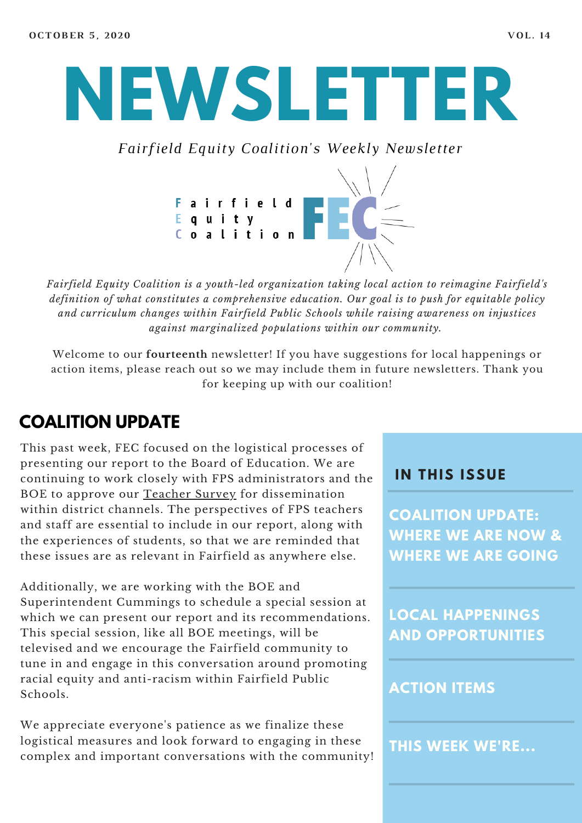# **NEWSLETTER**

*Fairfield Equity Coalition's Weekly Newsletter*



*Fairfield Equity Coalition is a youth-led organization taking local action to reimagine Fairfield's definition of what constitutes a comprehensive education. Our goal is to push for equitable policy and curriculum changes within Fairfield Public Schools while raising awareness on injustices against marginalized populations within our community.*

Welcome to our **fourteenth** newsletter! If you have suggestions for local happenings or action items, please reach out so we may include them in future newsletters. Thank you for keeping up with our coalition!

### **COALITION UPDATE**

This past week, FEC focused on the logistical processes of presenting our report to the Board of Education. We are continuing to work closely with FPS administrators and the BOE to approve our [Teacher](https://docs.google.com/forms/d/e/1FAIpQLSdifQJcebGw4SBDf0-HPtaQuekBZpXhW8dZB85auYQIkE7g0A/viewform) Survey for dissemination within district channels. The perspectives of FPS teachers and staff are essential to include in our report, along with the experiences of students, so that we are reminded that these issues are as relevant in Fairfield as anywhere else.

Additionally, we are working with the BOE and Superintendent Cummings to schedule a special session at which we can present our report and its recommendations. This special session, like all BOE meetings, will be televised and we encourage the Fairfield community to tune in and engage in this conversation around promoting racial equity and anti-racism within Fairfield Public Schools.

We appreciate everyone's patience as we finalize these logistical measures and look forward to engaging in these complex and important conversations with the community!

#### **I N THIS ISSUE**

**COALITION UPDATE: WHERE WE ARE NOW & WHERE WE ARE GOING**

**LOCAL HAPPENINGS AND OPPORTUNITIES**

#### **ACTION ITEMS**

**THIS WEEK WE'RE...**